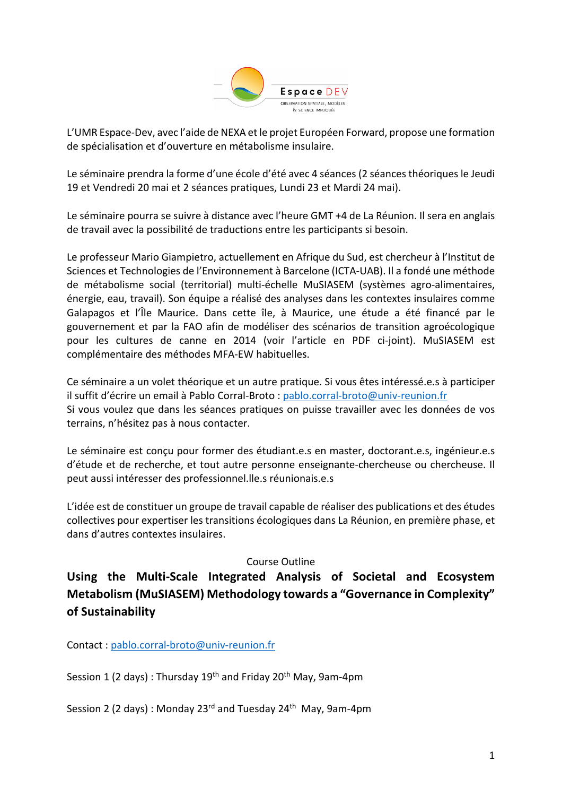

L'UMR Espace-Dev, avec l'aide de NEXA et le projet Européen Forward, propose une formation de spécialisation et d'ouverture en métabolisme insulaire.

Le séminaire prendra la forme d'une école d'été avec 4 séances (2 séances théoriques le Jeudi 19 et Vendredi 20 mai et 2 séances pratiques, Lundi 23 et Mardi 24 mai).

Le séminaire pourra se suivre à distance avec l'heure GMT +4 de La Réunion. Il sera en anglais de travail avec la possibilité de traductions entre les participants si besoin.

Le professeur Mario Giampietro, actuellement en Afrique du Sud, est chercheur à l'Institut de Sciences et Technologies de l'Environnement à Barcelone (ICTA-UAB). Il a fondé une méthode de métabolisme social (territorial) multi-échelle MuSIASEM (systèmes agro-alimentaires, énergie, eau, travail). Son équipe a réalisé des analyses dans les contextes insulaires comme Galapagos et l'Île Maurice. Dans cette île, à Maurice, une étude a été financé par le gouvernement et par la FAO afin de modéliser des scénarios de transition agroécologique pour les cultures de canne en 2014 (voir l'article en PDF ci-joint). MuSIASEM est complémentaire des méthodes MFA-EW habituelles.

Ce séminaire a un volet théorique et un autre pratique. Si vous êtes intéressé.e.s à participer il suffit d'écrire un email à Pablo Corral-Broto : pablo.corral-broto@univ-reunion.fr Si vous voulez que dans les séances pratiques on puisse travailler avec les données de vos terrains, n'hésitez pas à nous contacter.

Le séminaire est conçu pour former des étudiant.e.s en master, doctorant.e.s, ingénieur.e.s d'étude et de recherche, et tout autre personne enseignante-chercheuse ou chercheuse. Il peut aussi intéresser des professionnel.lle.s réunionais.e.s

L'idée est de constituer un groupe de travail capable de réaliser des publications et des études collectives pour expertiser les transitions écologiques dans La Réunion, en première phase, et dans d'autres contextes insulaires.

### Course Outline

# **Using the Multi-Scale Integrated Analysis of Societal and Ecosystem Metabolism (MuSIASEM) Methodology towards a "Governance in Complexity" of Sustainability**

Contact : pablo.corral-broto@univ-reunion.fr

Session 1 (2 days) : Thursday  $19<sup>th</sup>$  and Friday  $20<sup>th</sup>$  May, 9am-4pm

Session 2 (2 days): Monday 23<sup>rd</sup> and Tuesday 24<sup>th</sup> May, 9am-4pm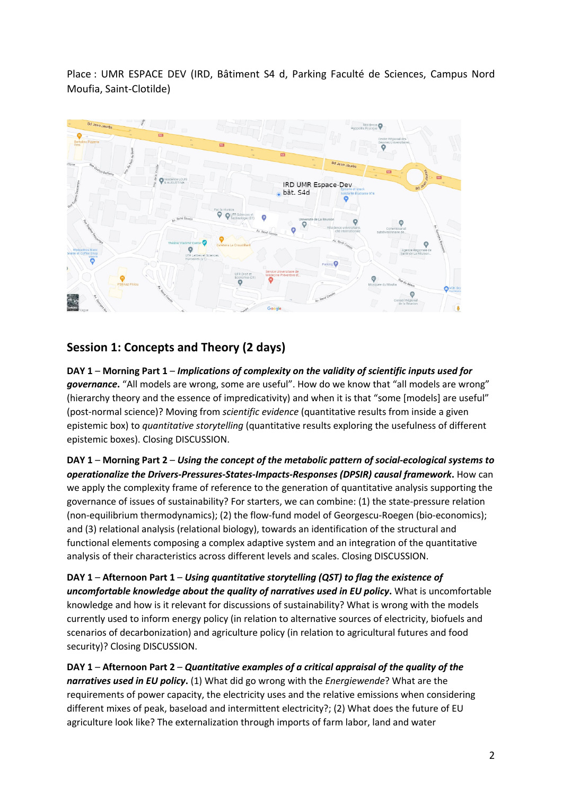Place : UMR ESPACE DEV (IRD, Bâtiment S4 d, Parking Faculté de Sciences, Campus Nord Moufia, Saint-Clotilde)



## **Session 1: Concepts and Theory (2 days)**

**DAY 1** – **Morning Part 1** – *Implications of complexity on the validity of scientific inputs used for*  governance. "All models are wrong, some are useful". How do we know that "all models are wrong" (hierarchy theory and the essence of impredicativity) and when it is that "some [models] are useful" (post-normal science)? Moving from *scientific evidence* (quantitative results from inside a given epistemic box) to *quantitative storytelling* (quantitative results exploring the usefulness of different epistemic boxes). Closing DISCUSSION.

**DAY 1** – **Morning Part 2** – *Using the concept of the metabolic pattern of social-ecological systems to operationalize the Drivers-Pressures-States-Impacts-Responses (DPSIR) causal framework***.** How can we apply the complexity frame of reference to the generation of quantitative analysis supporting the governance of issues of sustainability? For starters, we can combine: (1) the state-pressure relation (non-equilibrium thermodynamics); (2) the flow-fund model of Georgescu-Roegen (bio-economics); and (3) relational analysis (relational biology), towards an identification of the structural and functional elements composing a complex adaptive system and an integration of the quantitative analysis of their characteristics across different levels and scales. Closing DISCUSSION.

**DAY 1** – **Afternoon Part 1** – *Using quantitative storytelling (QST) to flag the existence of uncomfortable knowledge about the quality of narratives used in EU policy***.** What is uncomfortable knowledge and how is it relevant for discussions of sustainability? What is wrong with the models currently used to inform energy policy (in relation to alternative sources of electricity, biofuels and scenarios of decarbonization) and agriculture policy (in relation to agricultural futures and food security)? Closing DISCUSSION.

**DAY 1** – **Afternoon Part 2** – *Quantitative examples of a critical appraisal of the quality of the narratives used in EU policy***.** (1) What did go wrong with the *Energiewende*? What are the requirements of power capacity, the electricity uses and the relative emissions when considering different mixes of peak, baseload and intermittent electricity?; (2) What does the future of EU agriculture look like? The externalization through imports of farm labor, land and water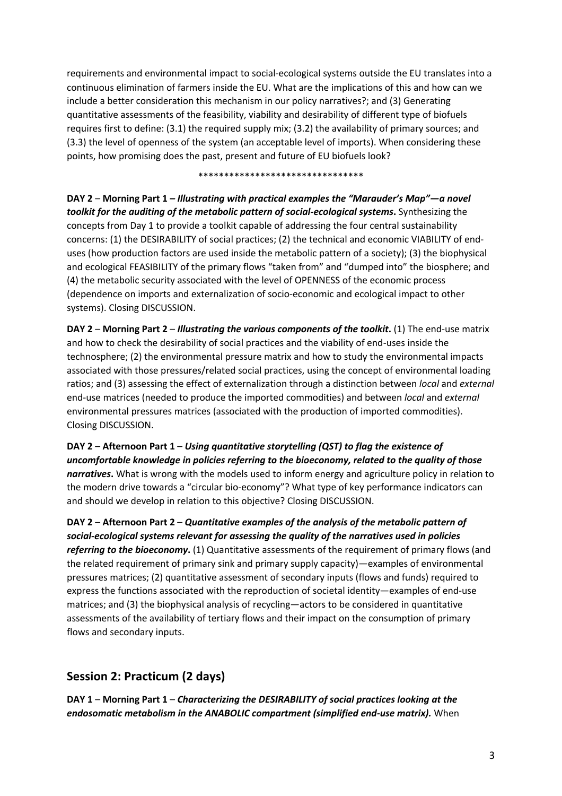requirements and environmental impact to social-ecological systems outside the EU translates into a continuous elimination of farmers inside the EU. What are the implications of this and how can we include a better consideration this mechanism in our policy narratives?; and (3) Generating quantitative assessments of the feasibility, viability and desirability of different type of biofuels requires first to define: (3.1) the required supply mix; (3.2) the availability of primary sources; and (3.3) the level of openness of the system (an acceptable level of imports). When considering these points, how promising does the past, present and future of EU biofuels look?

\*\*\*\*\*\*\*\*\*\*\*\*\*\*\*\*\*\*\*\*\*\*\*\*\*\*\*\*\*\*\*\*

**DAY 2** – **Morning Part 1** *– Illustrating with practical examples the "Marauder's Map"—a novel toolkit for the auditing of the metabolic pattern of social-ecological systems***.** Synthesizing the concepts from Day 1 to provide a toolkit capable of addressing the four central sustainability concerns: (1) the DESIRABILITY of social practices; (2) the technical and economic VIABILITY of enduses (how production factors are used inside the metabolic pattern of a society); (3) the biophysical and ecological FEASIBILITY of the primary flows "taken from" and "dumped into" the biosphere; and (4) the metabolic security associated with the level of OPENNESS of the economic process (dependence on imports and externalization of socio-economic and ecological impact to other systems). Closing DISCUSSION.

**DAY 2 – Morning Part 2 –** *Illustrating the various components of the toolkit***. (1) The end-use matrix** and how to check the desirability of social practices and the viability of end-uses inside the technosphere; (2) the environmental pressure matrix and how to study the environmental impacts associated with those pressures/related social practices, using the concept of environmental loading ratios; and (3) assessing the effect of externalization through a distinction between *local* and *external* end-use matrices (needed to produce the imported commodities) and between *local* and *external* environmental pressures matrices (associated with the production of imported commodities). Closing DISCUSSION.

**DAY 2** – **Afternoon Part 1** – *Using quantitative storytelling (QST) to flag the existence of uncomfortable knowledge in policies referring to the bioeconomy, related to the quality of those narratives***.** What is wrong with the models used to inform energy and agriculture policy in relation to the modern drive towards a "circular bio-economy"? What type of key performance indicators can and should we develop in relation to this objective? Closing DISCUSSION.

**DAY 2** – **Afternoon Part 2** – *Quantitative examples of the analysis of the metabolic pattern of social-ecological systems relevant for assessing the quality of the narratives used in policies referring to the bioeconomy*. (1) Quantitative assessments of the requirement of primary flows (and the related requirement of primary sink and primary supply capacity)—examples of environmental pressures matrices; (2) quantitative assessment of secondary inputs (flows and funds) required to express the functions associated with the reproduction of societal identity—examples of end-use matrices; and (3) the biophysical analysis of recycling—actors to be considered in quantitative assessments of the availability of tertiary flows and their impact on the consumption of primary flows and secondary inputs.

# **Session 2: Practicum (2 days)**

**DAY 1** – **Morning Part 1** – *Characterizing the DESIRABILITY of social practices looking at the endosomatic metabolism in the ANABOLIC compartment (simplified end-use matrix).* When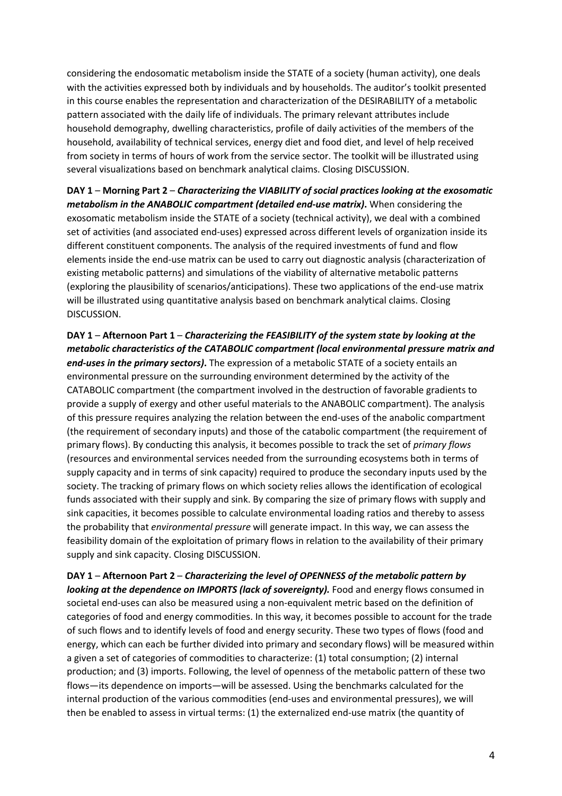considering the endosomatic metabolism inside the STATE of a society (human activity), one deals with the activities expressed both by individuals and by households. The auditor's toolkit presented in this course enables the representation and characterization of the DESIRABILITY of a metabolic pattern associated with the daily life of individuals. The primary relevant attributes include household demography, dwelling characteristics, profile of daily activities of the members of the household, availability of technical services, energy diet and food diet, and level of help received from society in terms of hours of work from the service sector. The toolkit will be illustrated using several visualizations based on benchmark analytical claims. Closing DISCUSSION.

**DAY 1** – **Morning Part 2** – *Characterizing the VIABILITY of social practices looking at the exosomatic metabolism in the ANABOLIC compartment (detailed end-use matrix)***.** When considering the exosomatic metabolism inside the STATE of a society (technical activity), we deal with a combined set of activities (and associated end-uses) expressed across different levels of organization inside its different constituent components. The analysis of the required investments of fund and flow elements inside the end-use matrix can be used to carry out diagnostic analysis (characterization of existing metabolic patterns) and simulations of the viability of alternative metabolic patterns (exploring the plausibility of scenarios/anticipations). These two applications of the end-use matrix will be illustrated using quantitative analysis based on benchmark analytical claims. Closing DISCUSSION.

**DAY 1** – **Afternoon Part 1** – *Characterizing the FEASIBILITY of the system state by looking at the metabolic characteristics of the CATABOLIC compartment (local environmental pressure matrix and end-uses in the primary sectors)***.** The expression of a metabolic STATE of a society entails an environmental pressure on the surrounding environment determined by the activity of the CATABOLIC compartment (the compartment involved in the destruction of favorable gradients to provide a supply of exergy and other useful materials to the ANABOLIC compartment). The analysis of this pressure requires analyzing the relation between the end-uses of the anabolic compartment (the requirement of secondary inputs) and those of the catabolic compartment (the requirement of primary flows). By conducting this analysis, it becomes possible to track the set of *primary flows* (resources and environmental services needed from the surrounding ecosystems both in terms of supply capacity and in terms of sink capacity) required to produce the secondary inputs used by the society. The tracking of primary flows on which society relies allows the identification of ecological funds associated with their supply and sink. By comparing the size of primary flows with supply and sink capacities, it becomes possible to calculate environmental loading ratios and thereby to assess the probability that *environmental pressure* will generate impact. In this way, we can assess the feasibility domain of the exploitation of primary flows in relation to the availability of their primary supply and sink capacity. Closing DISCUSSION.

**DAY 1** – **Afternoon Part 2** – *Characterizing the level of OPENNESS of the metabolic pattern by looking at the dependence on IMPORTS (lack of sovereignty).* Food and energy flows consumed in societal end-uses can also be measured using a non-equivalent metric based on the definition of categories of food and energy commodities. In this way, it becomes possible to account for the trade of such flows and to identify levels of food and energy security. These two types of flows (food and energy, which can each be further divided into primary and secondary flows) will be measured within a given a set of categories of commodities to characterize: (1) total consumption; (2) internal production; and (3) imports. Following, the level of openness of the metabolic pattern of these two flows—its dependence on imports—will be assessed. Using the benchmarks calculated for the internal production of the various commodities (end-uses and environmental pressures), we will then be enabled to assess in virtual terms: (1) the externalized end-use matrix (the quantity of